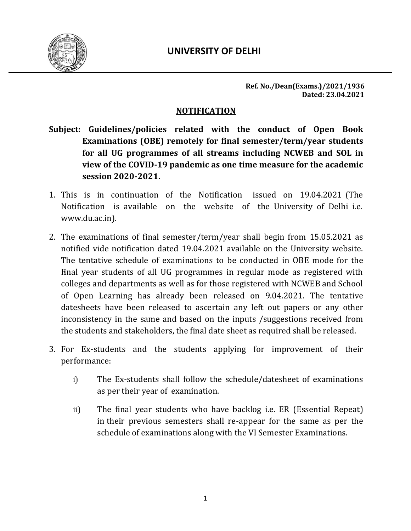

**Ref. No./Dean(Exams.)/2021/1936 Dated: 23.04.2021**

#### **NOTIFICATION**

- **Subject: Guidelines/policies related with the conduct of Open Book Examinations (OBE) remotely for final semester/term/year students for all UG programmes of all streams including NCWEB and SOL in view of the COVID-19 pandemic as one time measure for the academic session 2020-2021.**
- 1. This is in continuation of the Notification issued on 19.04.2021 (The Notification is available on the website of the University of Delhi i.e. www.du.ac.in).
- 2. The examinations of final semester/term/year shall begin from 15.05.2021 as notified vide notification dated 19.04.2021 available on the University website. The tentative schedule of examinations to be conducted in OBE mode for the Final year students of all UG programmes in regular mode as registered with colleges and departments as well as for those registered with NCWEB and School of Open Learning has already been released on 9.04.2021. The tentative datesheets have been released to ascertain any left out papers or any other inconsistency in the same and based on the inputs /suggestions received from the students and stakeholders, the final date sheet as required shall be released.
- 3. For Ex-students and the students applying for improvement of their performance:
	- i) The Ex-students shall follow the schedule/datesheet of examinations as per their year of examination.
	- ii) The final year students who have backlog i.e. ER (Essential Repeat) in their previous semesters shall re-appear for the same as per the schedule of examinations along with the VI Semester Examinations.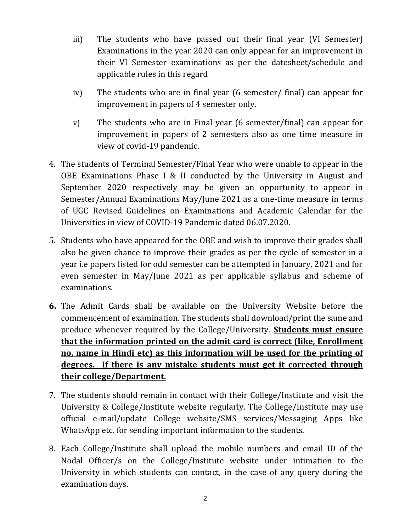- iii) The students who have passed out their final year (VI Semester) Examinations in the year 2020 can only appear for an improvement in their VI Semester examinations as per the datesheet/schedule and applicable rules in this regard
- iv) The students who are in final year (6 semester/ final) can appear for improvement in papers of 4 semester only.
- v) The students who are in Final year (6 semester/final) can appear for improvement in papers of 2 semesters also as one time measure in view of covid-19 pandemic.
- 4. The students of Terminal Semester/Final Year who were unable to appear in the OBE Examinations Phase I & II conducted by the University in August and September 2020 respectively may be given an opportunity to appear in Semester/Annual Examinations May/June 2021 as a one-time measure in terms of UGC Revised Guidelines on Examinations and Academic Calendar for the Universities in view of COVID-19 Pandemic dated 06.07.2020.
- 5. Students who have appeared for the OBE and wish to improve their grades shall also be given chance to improve their grades as per the cycle of semester in a year i.e papers listed for odd semester can be attempted in January, 2021 and for even semester in May/June 2021 as per applicable syllabus and scheme of examinations.
- **6.** The Admit Cards shall be available on the University Website before the commencement of examination. The students shall download/print the same and produce whenever required by the College/University. **Students must ensure that the information printed on the admit card is correct (like, Enrollment no, name in Hindi etc) as this information will be used for the printing of degrees. If there is any mistake students must get it corrected through their college/Department.**
- 7. The students should remain in contact with their College/Institute and visit the University & College/Institute website regularly. The College/Institute may use official e-mail/update College website/SMS services/Messaging Apps like WhatsApp etc. for sending important information to the students.
- 8. Each College/Institute shall upload the mobile numbers and email ID of the Nodal Officer/s on the College/Institute website under intimation to the University in which students can contact, in the case of any query during the examination days.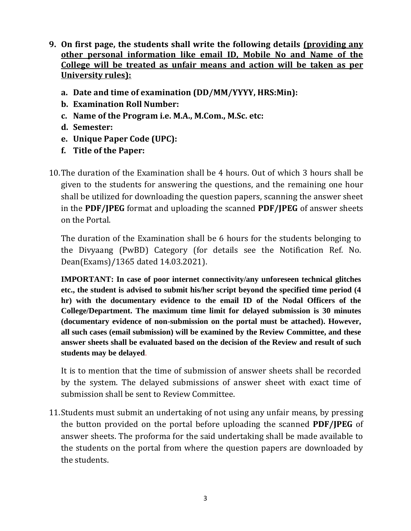- **9. On first page, the students shall write the following details (providing any other personal information like email ID, Mobile No and Name of the College will be treated as unfair means and action will be taken as per University rules):**
	- **a. Date and time of examination (DD/MM/YYYY, HRS:Min):**
	- **b. Examination Roll Number:**
	- **c. Name of the Program i.e. M.A., M.Com., M.Sc. etc:**
	- **d. Semester:**
	- **e. Unique Paper Code (UPC):**
	- **f. Title of the Paper:**
- 10.The duration of the Examination shall be 4 hours. Out of which 3 hours shall be given to the students for answering the questions, and the remaining one hour shall be utilized for downloading the question papers, scanning the answer sheet in the **PDF/JPEG** format and uploading the scanned **PDF/JPEG** of answer sheets on the Portal.

The duration of the Examination shall be 6 hours for the students belonging to the Divyaang (PwBD) Category (for details see the Notification Ref. No. Dean(Exams)/1365 dated 14.03.2021).

**IMPORTANT: In case of poor internet connectivity/any unforeseen technical glitches etc., the student is advised to submit his/her script beyond the specified time period (4 hr) with the documentary evidence to the email ID of the Nodal Officers of the College/Department. The maximum time limit for delayed submission is 30 minutes (documentary evidence of non-submission on the portal must be attached). However, all such cases (email submission) will be examined by the Review Committee, and these answer sheets shall be evaluated based on the decision of the Review and result of such students may be delayed**.

It is to mention that the time of submission of answer sheets shall be recorded by the system. The delayed submissions of answer sheet with exact time of submission shall be sent to Review Committee.

11.Students must submit an undertaking of not using any unfair means, by pressing the button provided on the portal before uploading the scanned **PDF/JPEG** of answer sheets. The proforma for the said undertaking shall be made available to the students on the portal from where the question papers are downloaded by the students.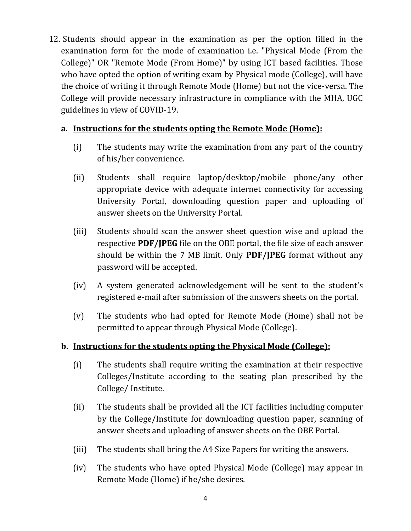12. Students should appear in the examination as per the option filled in the examination form for the mode of examination i.e. "Physical Mode (From the College)" OR "Remote Mode (From Home)" by using ICT based facilities. Those who have opted the option of writing exam by Physical mode (College), will have the choice of writing it through Remote Mode (Home) but not the vice-versa. The College will provide necessary infrastructure in compliance with the MHA, UGC guidelines in view of COVID-19.

### **a. Instructions for the students opting the Remote Mode (Home):**

- (i) The students may write the examination from any part of the country of his/her convenience.
- (ii) Students shall require laptop/desktop/mobile phone/any other appropriate device with adequate internet connectivity for accessing University Portal, downloading question paper and uploading of answer sheets on the University Portal.
- (iii) Students should scan the answer sheet question wise and upload the respective **PDF/JPEG** file on the OBE portal, the file size of each answer should be within the 7 MB limit. Only **PDF/JPEG** format without any password will be accepted.
- (iv) A system generated acknowledgement will be sent to the student's registered e-mail after submission of the answers sheets on the portal.
- (v) The students who had opted for Remote Mode (Home) shall not be permitted to appear through Physical Mode (College).

# **b. Instructions for the students opting the Physical Mode (College):**

- (i) The students shall require writing the examination at their respective Colleges/Institute according to the seating plan prescribed by the College/ Institute.
- (ii) The students shall be provided all the ICT facilities including computer by the College/Institute for downloading question paper, scanning of answer sheets and uploading of answer sheets on the OBE Portal.
- (iii) The students shall bring the A4 Size Papers for writing the answers.
- (iv) The students who have opted Physical Mode (College) may appear in Remote Mode (Home) if he/she desires.